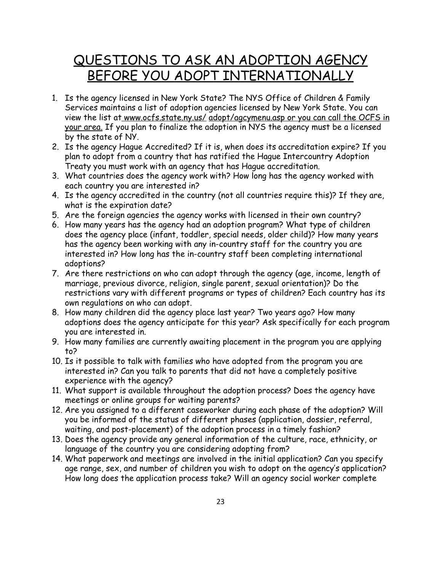## QUESTIONS TO ASK AN ADOPTION AGENCY BEFORE YOU ADOPT INTERNATIONALLY

- 1. Is the agency licensed in New York State? The NYS Office of Children & Family Services maintains a list of adoption agencies licensed by New York State. You can view the list at www.ocfs.state.ny.us/ adopt/agcymenu.asp or you can call the OCFS in your area. If you plan to finalize the adoption in NYS the agency must be a licensed by the state of NY.
- 2. Is the agency Hague Accredited? If it is, when does its accreditation expire? If you plan to adopt from a country that has ratified the Hague Intercountry Adoption Treaty you must work with an agency that has Hague accreditation.
- 3. What countries does the agency work with? How long has the agency worked with each country you are interested in?
- 4. Is the agency accredited in the country (not all countries require this)? If they are, what is the expiration date?
- 5. Are the foreign agencies the agency works with licensed in their own country?
- 6. How many years has the agency had an adoption program? What type of children does the agency place (infant, toddler, special needs, older child)? How many years has the agency been working with any in-country staff for the country you are interested in? How long has the in-country staff been completing international adoptions?
- 7. Are there restrictions on who can adopt through the agency (age, income, length of marriage, previous divorce, religion, single parent, sexual orientation)? Do the restrictions vary with different programs or types of children? Each country has its own regulations on who can adopt.
- 8. How many children did the agency place last year? Two years ago? How many adoptions does the agency anticipate for this year? Ask specifically for each program you are interested in.
- 9. How many families are currently awaiting placement in the program you are applying to?
- 10. Is it possible to talk with families who have adopted from the program you are interested in? Can you talk to parents that did not have a completely positive experience with the agency?
- 11. What support is available throughout the adoption process? Does the agency have meetings or online groups for waiting parents?
- 12. Are you assigned to a different caseworker during each phase of the adoption? Will you be informed of the status of different phases (application, dossier, referral, waiting, and post-placement) of the adoption process in a timely fashion?
- 13. Does the agency provide any general information of the culture, race, ethnicity, or language of the country you are considering adopting from?
- 14. What paperwork and meetings are involved in the initial application? Can you specify age range, sex, and number of children you wish to adopt on the agency's application? How long does the application process take? Will an agency social worker complete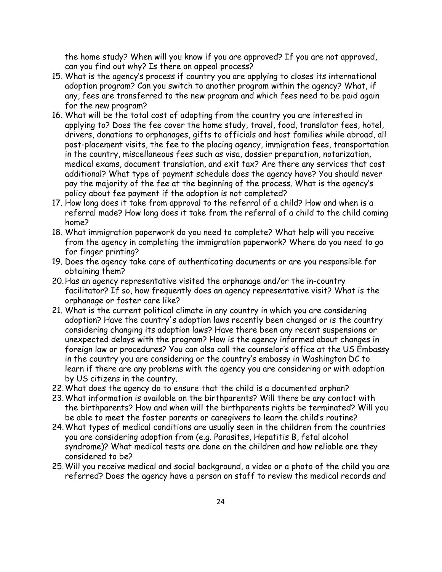the home study? When will you know if you are approved? If you are not approved, can you find out why? Is there an appeal process?

- 15. What is the agency's process if country you are applying to closes its international adoption program? Can you switch to another program within the agency? What, if any, fees are transferred to the new program and which fees need to be paid again for the new program?
- 16. What will be the total cost of adopting from the country you are interested in applying to? Does the fee cover the home study, travel, food, translator fees, hotel, drivers, donations to orphanages, gifts to officials and host families while abroad, all post-placement visits, the fee to the placing agency, immigration fees, transportation in the country, miscellaneous fees such as visa, dossier preparation, notarization, medical exams, document translation, and exit tax? Are there any services that cost additional? What type of payment schedule does the agency have? You should never pay the majority of the fee at the beginning of the process. What is the agency's policy about fee payment if the adoption is not completed?
- 17. How long does it take from approval to the referral of a child? How and when is a referral made? How long does it take from the referral of a child to the child coming home?
- 18. What immigration paperwork do you need to complete? What help will you receive from the agency in completing the immigration paperwork? Where do you need to go for finger printing?
- 19. Does the agency take care of authenticating documents or are you responsible for obtaining them?
- 20.Has an agency representative visited the orphanage and/or the in-country facilitator? If so, how frequently does an agency representative visit? What is the orphanage or foster care like?
- 21. What is the current political climate in any country in which you are considering adoption? Have the country's adoption laws recently been changed or is the country considering changing its adoption laws? Have there been any recent suspensions or unexpected delays with the program? How is the agency informed about changes in foreign law or procedures? You can also call the counselor's office at the US Embassy in the country you are considering or the country's embassy in Washington DC to learn if there are any problems with the agency you are considering or with adoption by US citizens in the country.
- 22.What does the agency do to ensure that the child is a documented orphan?
- 23.What information is available on the birthparents? Will there be any contact with the birthparents? How and when will the birthparents rights be terminated? Will you be able to meet the foster parents or caregivers to learn the child's routine?
- 24.What types of medical conditions are usually seen in the children from the countries you are considering adoption from (e.g. Parasites, Hepatitis B, fetal alcohol syndrome)? What medical tests are done on the children and how reliable are they considered to be?
- 25.Will you receive medical and social background, a video or a photo of the child you are referred? Does the agency have a person on staff to review the medical records and